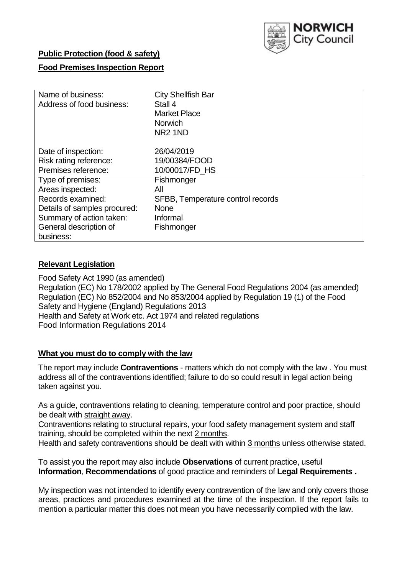

# **Public Protection (food & safety)**

# **Food Premises Inspection Report**

| Name of business:<br>Address of food business: | <b>City Shellfish Bar</b><br>Stall 4<br><b>Market Place</b><br><b>Norwich</b> |
|------------------------------------------------|-------------------------------------------------------------------------------|
|                                                | NR <sub>2</sub> 1ND                                                           |
| Date of inspection:                            | 26/04/2019                                                                    |
| Risk rating reference:                         | 19/00384/FOOD                                                                 |
| Premises reference:                            | 10/00017/FD_HS                                                                |
| Type of premises:                              | Fishmonger                                                                    |
| Areas inspected:                               | All                                                                           |
| Records examined:                              | SFBB, Temperature control records                                             |
| Details of samples procured:                   | <b>None</b>                                                                   |
| Summary of action taken:                       | Informal                                                                      |
| General description of                         | Fishmonger                                                                    |
| business:                                      |                                                                               |

### **Relevant Legislation**

Food Safety Act 1990 (as amended) Regulation (EC) No 178/2002 applied by The General Food Regulations 2004 (as amended) Regulation (EC) No 852/2004 and No 853/2004 applied by Regulation 19 (1) of the Food Safety and Hygiene (England) Regulations 2013 Health and Safety at Work etc. Act 1974 and related regulations Food Information Regulations 2014

#### **What you must do to comply with the law**

The report may include **Contraventions** - matters which do not comply with the law . You must address all of the contraventions identified; failure to do so could result in legal action being taken against you.

As a guide, contraventions relating to cleaning, temperature control and poor practice, should be dealt with straight away.

Contraventions relating to structural repairs, your food safety management system and staff training, should be completed within the next 2 months.

Health and safety contraventions should be dealt with within 3 months unless otherwise stated.

To assist you the report may also include **Observations** of current practice, useful **Information**, **Recommendations** of good practice and reminders of **Legal Requirements .**

My inspection was not intended to identify every contravention of the law and only covers those areas, practices and procedures examined at the time of the inspection. If the report fails to mention a particular matter this does not mean you have necessarily complied with the law.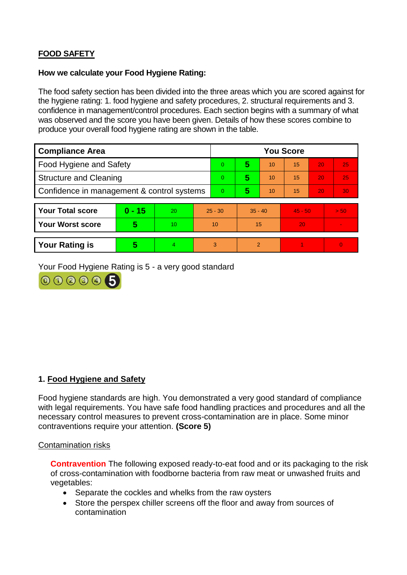# **FOOD SAFETY**

### **How we calculate your Food Hygiene Rating:**

The food safety section has been divided into the three areas which you are scored against for the hygiene rating: 1. food hygiene and safety procedures, 2. structural requirements and 3. confidence in management/control procedures. Each section begins with a summary of what was observed and the score you have been given. Details of how these scores combine to produce your overall food hygiene rating are shown in the table.

| <b>Compliance Area</b>                     |          |                  |           | <b>You Score</b> |               |    |           |    |          |  |  |
|--------------------------------------------|----------|------------------|-----------|------------------|---------------|----|-----------|----|----------|--|--|
| Food Hygiene and Safety                    |          |                  |           | 0                | 5             | 10 | 15        | 20 | 25       |  |  |
| <b>Structure and Cleaning</b>              |          |                  |           | $\Omega$         | 5             | 10 | 15        | 20 | 25       |  |  |
| Confidence in management & control systems |          |                  | $\Omega$  | 5                | 10            | 15 | 20        | 30 |          |  |  |
|                                            |          |                  |           |                  |               |    |           |    |          |  |  |
| <b>Your Total score</b>                    | $0 - 15$ | 20               | $25 - 30$ |                  | $35 - 40$     |    | $45 - 50$ |    | > 50     |  |  |
| <b>Your Worst score</b>                    | 5        | 10 <sup>10</sup> | 10        |                  | 15            |    | 20        |    |          |  |  |
|                                            |          |                  |           |                  |               |    |           |    |          |  |  |
| <b>Your Rating is</b>                      | 5        | 4                |           | 3                | $\mathcal{P}$ |    |           |    | $\Omega$ |  |  |

Your Food Hygiene Rating is 5 - a very good standard



### **1. Food Hygiene and Safety**

Food hygiene standards are high. You demonstrated a very good standard of compliance with legal requirements. You have safe food handling practices and procedures and all the necessary control measures to prevent cross-contamination are in place. Some minor contraventions require your attention. **(Score 5)**

#### Contamination risks

**Contravention** The following exposed ready-to-eat food and or its packaging to the risk of cross-contamination with foodborne bacteria from raw meat or unwashed fruits and vegetables:

- Separate the cockles and whelks from the raw oysters
- Store the perspex chiller screens off the floor and away from sources of contamination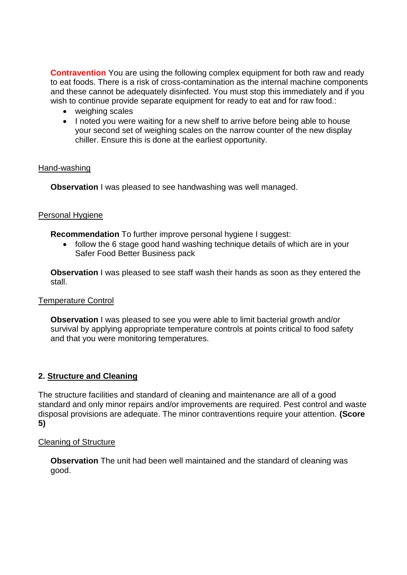**Contravention** You are using the following complex equipment for both raw and ready to eat foods. There is a risk of cross-contamination as the internal machine components and these cannot be adequately disinfected. You must stop this immediately and if you wish to continue provide separate equipment for ready to eat and for raw food.:

- weighing scales
- I noted you were waiting for a new shelf to arrive before being able to house your second set of weighing scales on the narrow counter of the new display chiller. Ensure this is done at the earliest opportunity.

#### Hand-washing

**Observation** I was pleased to see handwashing was well managed.

## **Personal Hygiene**

**Recommendation** To further improve personal hygiene I suggest:

 follow the 6 stage good hand washing technique details of which are in your Safer Food Better Business pack

**Observation** I was pleased to see staff wash their hands as soon as they entered the stall.

#### Temperature Control

**Observation** I was pleased to see you were able to limit bacterial growth and/or survival by applying appropriate temperature controls at points critical to food safety and that you were monitoring temperatures.

### **2. Structure and Cleaning**

The structure facilities and standard of cleaning and maintenance are all of a good standard and only minor repairs and/or improvements are required. Pest control and waste disposal provisions are adequate. The minor contraventions require your attention. **(Score 5)**

#### Cleaning of Structure

**Observation** The unit had been well maintained and the standard of cleaning was good.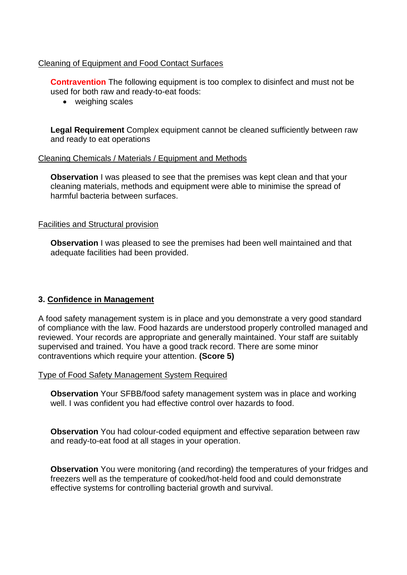## Cleaning of Equipment and Food Contact Surfaces

**Contravention** The following equipment is too complex to disinfect and must not be used for both raw and ready-to-eat foods:

• weighing scales

**Legal Requirement** Complex equipment cannot be cleaned sufficiently between raw and ready to eat operations

### Cleaning Chemicals / Materials / Equipment and Methods

**Observation** I was pleased to see that the premises was kept clean and that your cleaning materials, methods and equipment were able to minimise the spread of harmful bacteria between surfaces.

### Facilities and Structural provision

**Observation** I was pleased to see the premises had been well maintained and that adequate facilities had been provided.

### **3. Confidence in Management**

A food safety management system is in place and you demonstrate a very good standard of compliance with the law. Food hazards are understood properly controlled managed and reviewed. Your records are appropriate and generally maintained. Your staff are suitably supervised and trained. You have a good track record. There are some minor contraventions which require your attention. **(Score 5)**

Type of Food Safety Management System Required

**Observation** Your SFBB/food safety management system was in place and working well. I was confident you had effective control over hazards to food.

**Observation** You had colour-coded equipment and effective separation between raw and ready-to-eat food at all stages in your operation.

**Observation** You were monitoring (and recording) the temperatures of your fridges and freezers well as the temperature of cooked/hot-held food and could demonstrate effective systems for controlling bacterial growth and survival.